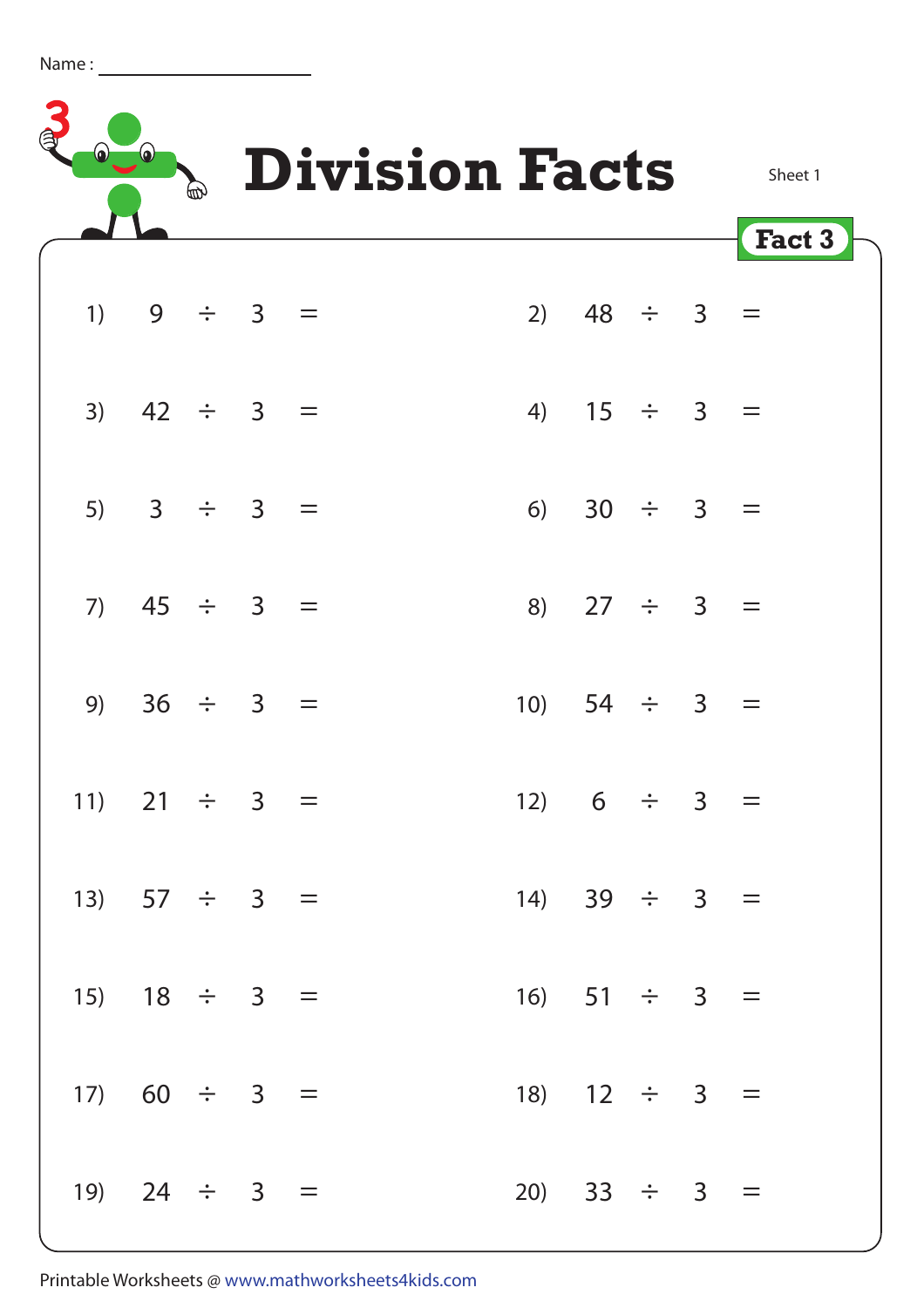| Name |  |  |
|------|--|--|
|      |  |  |



| 1) $9 \div 3 =$   |  |  |                   | 2) $48 \div 3 =$  |  |  |  |
|-------------------|--|--|-------------------|-------------------|--|--|--|
| 3) $42 \div 3 =$  |  |  |                   | 4) $15 \div 3 =$  |  |  |  |
| 5) $3 \div 3 =$   |  |  |                   | 6) $30 \div 3 =$  |  |  |  |
| 7) $45 \div 3 =$  |  |  |                   | 8) $27 \div 3 =$  |  |  |  |
| 9) $36 \div 3 =$  |  |  |                   | 10) $54 \div 3 =$ |  |  |  |
| 11) 21 $\div$ 3 = |  |  |                   | 12) $6 \div 3 =$  |  |  |  |
| 13) $57 \div 3 =$ |  |  |                   | 14) 39 $\div$ 3 = |  |  |  |
| 15) $18 \div 3 =$ |  |  |                   | 16) $51 \div 3 =$ |  |  |  |
| 17) $60 \div 3 =$ |  |  |                   | 18) $12 \div 3 =$ |  |  |  |
| 19) 24 $\div$ 3 = |  |  | 20) 33 $\div$ 3 = |                   |  |  |  |